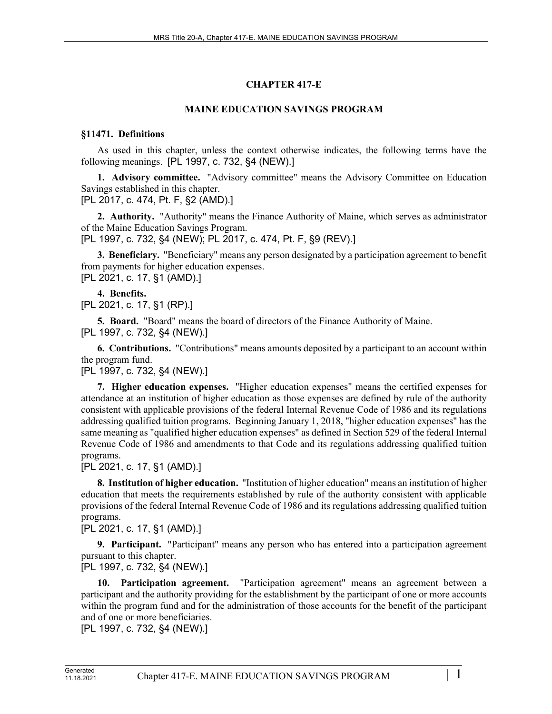# **CHAPTER 417-E**

# **MAINE EDUCATION SAVINGS PROGRAM**

## **§11471. Definitions**

As used in this chapter, unless the context otherwise indicates, the following terms have the following meanings. [PL 1997, c. 732, §4 (NEW).]

**1. Advisory committee.** "Advisory committee" means the Advisory Committee on Education Savings established in this chapter.

[PL 2017, c. 474, Pt. F, §2 (AMD).]

**2. Authority.** "Authority" means the Finance Authority of Maine, which serves as administrator of the Maine Education Savings Program.

[PL 1997, c. 732, §4 (NEW); PL 2017, c. 474, Pt. F, §9 (REV).]

**3. Beneficiary.** "Beneficiary" means any person designated by a participation agreement to benefit from payments for higher education expenses. [PL 2021, c. 17, §1 (AMD).]

## **4. Benefits.**

[PL 2021, c. 17, §1 (RP).]

**5. Board.** "Board" means the board of directors of the Finance Authority of Maine. [PL 1997, c. 732, §4 (NEW).]

**6. Contributions.** "Contributions" means amounts deposited by a participant to an account within the program fund.

[PL 1997, c. 732, §4 (NEW).]

**7. Higher education expenses.** "Higher education expenses" means the certified expenses for attendance at an institution of higher education as those expenses are defined by rule of the authority consistent with applicable provisions of the federal Internal Revenue Code of 1986 and its regulations addressing qualified tuition programs. Beginning January 1, 2018, "higher education expenses" has the same meaning as "qualified higher education expenses" as defined in Section 529 of the federal Internal Revenue Code of 1986 and amendments to that Code and its regulations addressing qualified tuition programs.

[PL 2021, c. 17, §1 (AMD).]

**8. Institution of higher education.** "Institution of higher education" means an institution of higher education that meets the requirements established by rule of the authority consistent with applicable provisions of the federal Internal Revenue Code of 1986 and its regulations addressing qualified tuition programs.

[PL 2021, c. 17, §1 (AMD).]

**9. Participant.** "Participant" means any person who has entered into a participation agreement pursuant to this chapter.

[PL 1997, c. 732, §4 (NEW).]

**10. Participation agreement.** "Participation agreement" means an agreement between a participant and the authority providing for the establishment by the participant of one or more accounts within the program fund and for the administration of those accounts for the benefit of the participant and of one or more beneficiaries.

[PL 1997, c. 732, §4 (NEW).]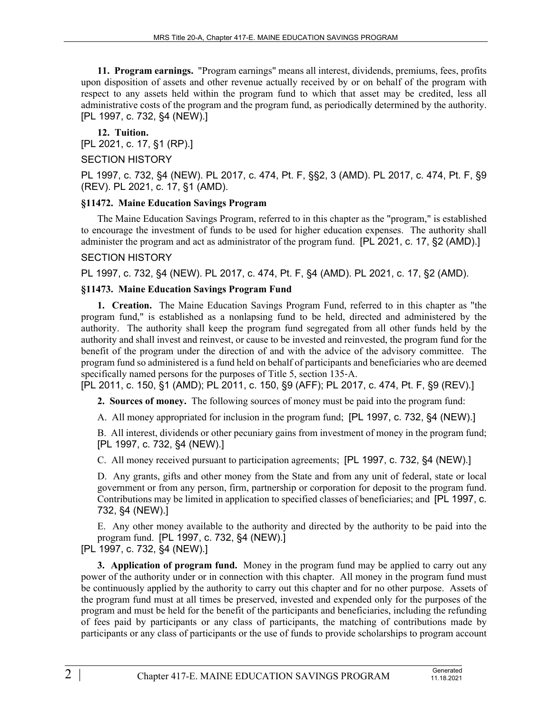**11. Program earnings.** "Program earnings" means all interest, dividends, premiums, fees, profits upon disposition of assets and other revenue actually received by or on behalf of the program with respect to any assets held within the program fund to which that asset may be credited, less all administrative costs of the program and the program fund, as periodically determined by the authority. [PL 1997, c. 732, §4 (NEW).]

**12. Tuition.**  [PL 2021, c. 17, §1 (RP).] SECTION HISTORY

PL 1997, c. 732, §4 (NEW). PL 2017, c. 474, Pt. F, §§2, 3 (AMD). PL 2017, c. 474, Pt. F, §9 (REV). PL 2021, c. 17, §1 (AMD).

## **§11472. Maine Education Savings Program**

The Maine Education Savings Program, referred to in this chapter as the "program," is established to encourage the investment of funds to be used for higher education expenses. The authority shall administer the program and act as administrator of the program fund. [PL 2021, c. 17, §2 (AMD).]

## SECTION HISTORY

PL 1997, c. 732, §4 (NEW). PL 2017, c. 474, Pt. F, §4 (AMD). PL 2021, c. 17, §2 (AMD).

## **§11473. Maine Education Savings Program Fund**

**1. Creation.** The Maine Education Savings Program Fund, referred to in this chapter as "the program fund," is established as a nonlapsing fund to be held, directed and administered by the authority. The authority shall keep the program fund segregated from all other funds held by the authority and shall invest and reinvest, or cause to be invested and reinvested, the program fund for the benefit of the program under the direction of and with the advice of the advisory committee. The program fund so administered is a fund held on behalf of participants and beneficiaries who are deemed specifically named persons for the purposes of Title 5, section 135-A.

[PL 2011, c. 150, §1 (AMD); PL 2011, c. 150, §9 (AFF); PL 2017, c. 474, Pt. F, §9 (REV).]

**2. Sources of money.** The following sources of money must be paid into the program fund:

A. All money appropriated for inclusion in the program fund; [PL 1997, c. 732, §4 (NEW).]

B. All interest, dividends or other pecuniary gains from investment of money in the program fund; [PL 1997, c. 732, §4 (NEW).]

C. All money received pursuant to participation agreements; [PL 1997, c. 732, §4 (NEW).]

D. Any grants, gifts and other money from the State and from any unit of federal, state or local government or from any person, firm, partnership or corporation for deposit to the program fund. Contributions may be limited in application to specified classes of beneficiaries; and [PL 1997, c. 732, §4 (NEW).]

E. Any other money available to the authority and directed by the authority to be paid into the program fund. [PL 1997, c. 732, §4 (NEW).]

[PL 1997, c. 732, §4 (NEW).]

**3. Application of program fund.** Money in the program fund may be applied to carry out any power of the authority under or in connection with this chapter. All money in the program fund must be continuously applied by the authority to carry out this chapter and for no other purpose. Assets of the program fund must at all times be preserved, invested and expended only for the purposes of the program and must be held for the benefit of the participants and beneficiaries, including the refunding of fees paid by participants or any class of participants, the matching of contributions made by participants or any class of participants or the use of funds to provide scholarships to program account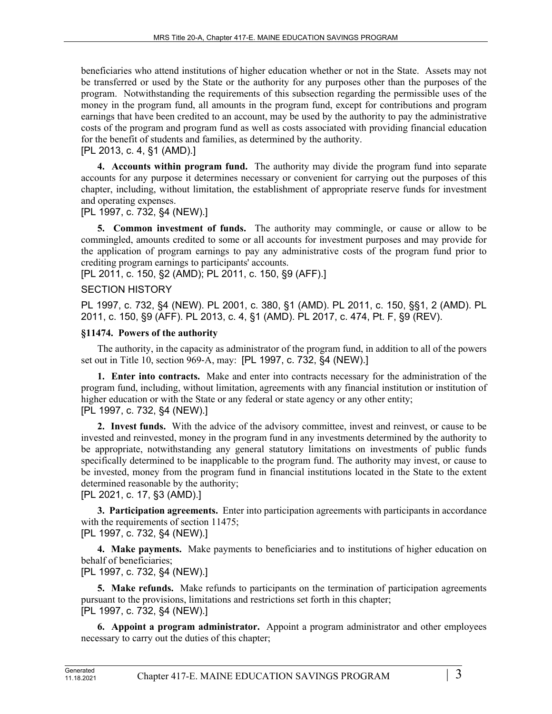beneficiaries who attend institutions of higher education whether or not in the State. Assets may not be transferred or used by the State or the authority for any purposes other than the purposes of the program. Notwithstanding the requirements of this subsection regarding the permissible uses of the money in the program fund, all amounts in the program fund, except for contributions and program earnings that have been credited to an account, may be used by the authority to pay the administrative costs of the program and program fund as well as costs associated with providing financial education for the benefit of students and families, as determined by the authority.

# [PL 2013, c. 4, §1 (AMD).]

**4. Accounts within program fund.** The authority may divide the program fund into separate accounts for any purpose it determines necessary or convenient for carrying out the purposes of this chapter, including, without limitation, the establishment of appropriate reserve funds for investment and operating expenses.

# [PL 1997, c. 732, §4 (NEW).]

**5. Common investment of funds.** The authority may commingle, or cause or allow to be commingled, amounts credited to some or all accounts for investment purposes and may provide for the application of program earnings to pay any administrative costs of the program fund prior to crediting program earnings to participants' accounts.

[PL 2011, c. 150, §2 (AMD); PL 2011, c. 150, §9 (AFF).]

## SECTION HISTORY

PL 1997, c. 732, §4 (NEW). PL 2001, c. 380, §1 (AMD). PL 2011, c. 150, §§1, 2 (AMD). PL 2011, c. 150, §9 (AFF). PL 2013, c. 4, §1 (AMD). PL 2017, c. 474, Pt. F, §9 (REV).

## **§11474. Powers of the authority**

The authority, in the capacity as administrator of the program fund, in addition to all of the powers set out in Title 10, section 969‑A, may: [PL 1997, c. 732, §4 (NEW).]

**1. Enter into contracts.** Make and enter into contracts necessary for the administration of the program fund, including, without limitation, agreements with any financial institution or institution of higher education or with the State or any federal or state agency or any other entity; [PL 1997, c. 732, §4 (NEW).]

**2. Invest funds.** With the advice of the advisory committee, invest and reinvest, or cause to be invested and reinvested, money in the program fund in any investments determined by the authority to be appropriate, notwithstanding any general statutory limitations on investments of public funds specifically determined to be inapplicable to the program fund. The authority may invest, or cause to be invested, money from the program fund in financial institutions located in the State to the extent determined reasonable by the authority;

[PL 2021, c. 17, §3 (AMD).]

**3. Participation agreements.** Enter into participation agreements with participants in accordance with the requirements of section 11475;

[PL 1997, c. 732, §4 (NEW).]

**4. Make payments.** Make payments to beneficiaries and to institutions of higher education on behalf of beneficiaries;

# [PL 1997, c. 732, §4 (NEW).]

**5. Make refunds.** Make refunds to participants on the termination of participation agreements pursuant to the provisions, limitations and restrictions set forth in this chapter; [PL 1997, c. 732, §4 (NEW).]

**6. Appoint a program administrator.** Appoint a program administrator and other employees necessary to carry out the duties of this chapter;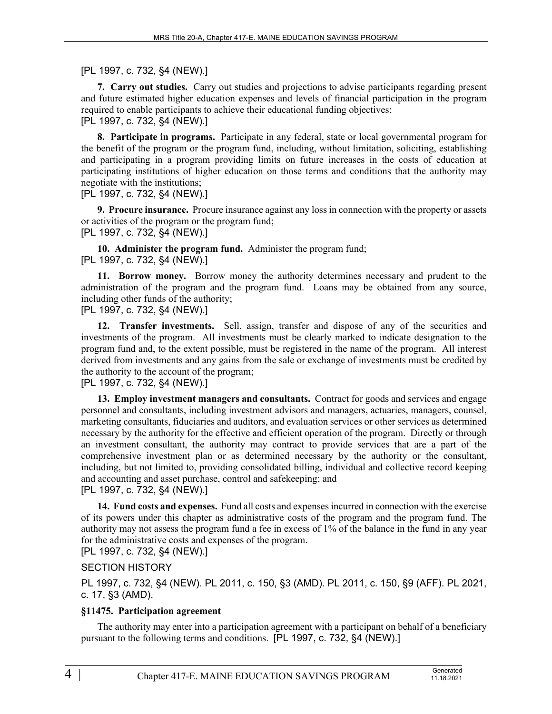[PL 1997, c. 732, §4 (NEW).]

**7. Carry out studies.** Carry out studies and projections to advise participants regarding present and future estimated higher education expenses and levels of financial participation in the program required to enable participants to achieve their educational funding objectives; [PL 1997, c. 732, §4 (NEW).]

**8. Participate in programs.** Participate in any federal, state or local governmental program for the benefit of the program or the program fund, including, without limitation, soliciting, establishing and participating in a program providing limits on future increases in the costs of education at participating institutions of higher education on those terms and conditions that the authority may negotiate with the institutions;

[PL 1997, c. 732, §4 (NEW).]

**9. Procure insurance.** Procure insurance against any loss in connection with the property or assets or activities of the program or the program fund; [PL 1997, c. 732, §4 (NEW).]

**10. Administer the program fund.** Administer the program fund;

#### [PL 1997, c. 732, §4 (NEW).]

**11. Borrow money.** Borrow money the authority determines necessary and prudent to the administration of the program and the program fund. Loans may be obtained from any source, including other funds of the authority;

[PL 1997, c. 732, §4 (NEW).]

**12. Transfer investments.** Sell, assign, transfer and dispose of any of the securities and investments of the program. All investments must be clearly marked to indicate designation to the program fund and, to the extent possible, must be registered in the name of the program. All interest derived from investments and any gains from the sale or exchange of investments must be credited by the authority to the account of the program;

## [PL 1997, c. 732, §4 (NEW).]

**13. Employ investment managers and consultants.** Contract for goods and services and engage personnel and consultants, including investment advisors and managers, actuaries, managers, counsel, marketing consultants, fiduciaries and auditors, and evaluation services or other services as determined necessary by the authority for the effective and efficient operation of the program. Directly or through an investment consultant, the authority may contract to provide services that are a part of the comprehensive investment plan or as determined necessary by the authority or the consultant, including, but not limited to, providing consolidated billing, individual and collective record keeping and accounting and asset purchase, control and safekeeping; and

## [PL 1997, c. 732, §4 (NEW).]

**14. Fund costs and expenses.** Fund all costs and expenses incurred in connection with the exercise of its powers under this chapter as administrative costs of the program and the program fund. The authority may not assess the program fund a fee in excess of 1% of the balance in the fund in any year for the administrative costs and expenses of the program.

[PL 1997, c. 732, §4 (NEW).]

## SECTION HISTORY

PL 1997, c. 732, §4 (NEW). PL 2011, c. 150, §3 (AMD). PL 2011, c. 150, §9 (AFF). PL 2021, c. 17, §3 (AMD).

## **§11475. Participation agreement**

The authority may enter into a participation agreement with a participant on behalf of a beneficiary pursuant to the following terms and conditions. [PL 1997, c. 732, §4 (NEW).]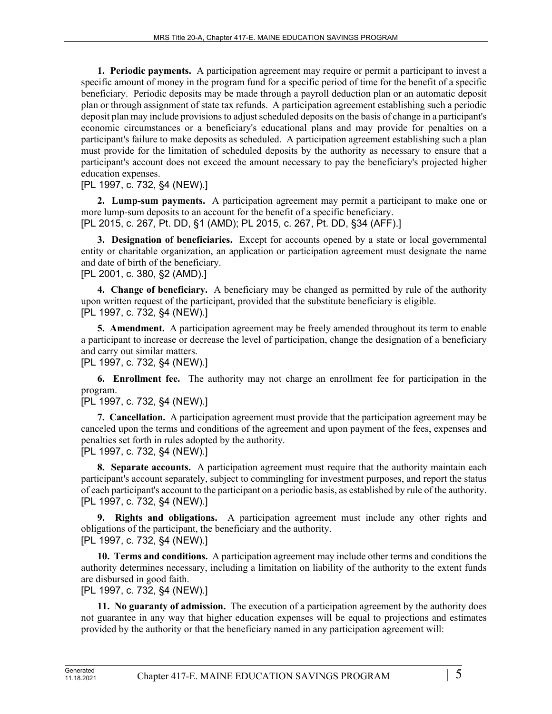**1. Periodic payments.** A participation agreement may require or permit a participant to invest a specific amount of money in the program fund for a specific period of time for the benefit of a specific beneficiary. Periodic deposits may be made through a payroll deduction plan or an automatic deposit plan or through assignment of state tax refunds. A participation agreement establishing such a periodic deposit plan may include provisions to adjust scheduled deposits on the basis of change in a participant's economic circumstances or a beneficiary's educational plans and may provide for penalties on a participant's failure to make deposits as scheduled. A participation agreement establishing such a plan must provide for the limitation of scheduled deposits by the authority as necessary to ensure that a participant's account does not exceed the amount necessary to pay the beneficiary's projected higher education expenses.

[PL 1997, c. 732, §4 (NEW).]

**2. Lump-sum payments.** A participation agreement may permit a participant to make one or more lump-sum deposits to an account for the benefit of a specific beneficiary. [PL 2015, c. 267, Pt. DD, §1 (AMD); PL 2015, c. 267, Pt. DD, §34 (AFF).]

**3. Designation of beneficiaries.** Except for accounts opened by a state or local governmental entity or charitable organization, an application or participation agreement must designate the name and date of birth of the beneficiary.

[PL 2001, c. 380, §2 (AMD).]

**4. Change of beneficiary.** A beneficiary may be changed as permitted by rule of the authority upon written request of the participant, provided that the substitute beneficiary is eligible. [PL 1997, c. 732, §4 (NEW).]

**5. Amendment.** A participation agreement may be freely amended throughout its term to enable a participant to increase or decrease the level of participation, change the designation of a beneficiary and carry out similar matters.

[PL 1997, c. 732, §4 (NEW).]

**6. Enrollment fee.** The authority may not charge an enrollment fee for participation in the program.

```
[PL 1997, c. 732, §4 (NEW).]
```
**7. Cancellation.** A participation agreement must provide that the participation agreement may be canceled upon the terms and conditions of the agreement and upon payment of the fees, expenses and penalties set forth in rules adopted by the authority.

[PL 1997, c. 732, §4 (NEW).]

**8. Separate accounts.** A participation agreement must require that the authority maintain each participant's account separately, subject to commingling for investment purposes, and report the status of each participant's account to the participant on a periodic basis, as established by rule of the authority. [PL 1997, c. 732, §4 (NEW).]

**9. Rights and obligations.** A participation agreement must include any other rights and obligations of the participant, the beneficiary and the authority. [PL 1997, c. 732, §4 (NEW).]

**10. Terms and conditions.** A participation agreement may include other terms and conditions the authority determines necessary, including a limitation on liability of the authority to the extent funds are disbursed in good faith.

[PL 1997, c. 732, §4 (NEW).]

**11. No guaranty of admission.** The execution of a participation agreement by the authority does not guarantee in any way that higher education expenses will be equal to projections and estimates provided by the authority or that the beneficiary named in any participation agreement will: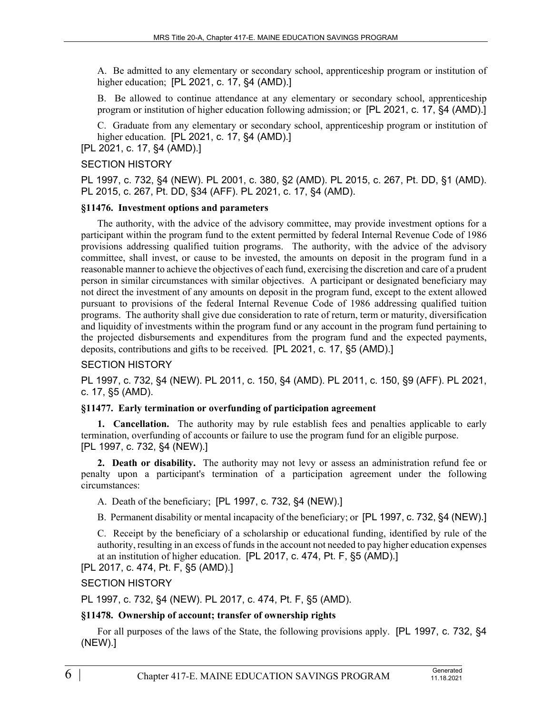A. Be admitted to any elementary or secondary school, apprenticeship program or institution of higher education; [PL 2021, c. 17, §4 (AMD).]

B. Be allowed to continue attendance at any elementary or secondary school, apprenticeship program or institution of higher education following admission; or [PL 2021, c. 17, §4 (AMD).]

C. Graduate from any elementary or secondary school, apprenticeship program or institution of higher education. [PL 2021, c. 17, §4 (AMD).]

[PL 2021, c. 17, §4 (AMD).]

#### SECTION HISTORY

PL 1997, c. 732, §4 (NEW). PL 2001, c. 380, §2 (AMD). PL 2015, c. 267, Pt. DD, §1 (AMD). PL 2015, c. 267, Pt. DD, §34 (AFF). PL 2021, c. 17, §4 (AMD).

### **§11476. Investment options and parameters**

The authority, with the advice of the advisory committee, may provide investment options for a participant within the program fund to the extent permitted by federal Internal Revenue Code of 1986 provisions addressing qualified tuition programs. The authority, with the advice of the advisory committee, shall invest, or cause to be invested, the amounts on deposit in the program fund in a reasonable manner to achieve the objectives of each fund, exercising the discretion and care of a prudent person in similar circumstances with similar objectives. A participant or designated beneficiary may not direct the investment of any amounts on deposit in the program fund, except to the extent allowed pursuant to provisions of the federal Internal Revenue Code of 1986 addressing qualified tuition programs. The authority shall give due consideration to rate of return, term or maturity, diversification and liquidity of investments within the program fund or any account in the program fund pertaining to the projected disbursements and expenditures from the program fund and the expected payments, deposits, contributions and gifts to be received. [PL 2021, c. 17, §5 (AMD).]

#### SECTION HISTORY

PL 1997, c. 732, §4 (NEW). PL 2011, c. 150, §4 (AMD). PL 2011, c. 150, §9 (AFF). PL 2021, c. 17, §5 (AMD).

#### **§11477. Early termination or overfunding of participation agreement**

**1. Cancellation.** The authority may by rule establish fees and penalties applicable to early termination, overfunding of accounts or failure to use the program fund for an eligible purpose. [PL 1997, c. 732, §4 (NEW).]

**2. Death or disability.** The authority may not levy or assess an administration refund fee or penalty upon a participant's termination of a participation agreement under the following circumstances:

A. Death of the beneficiary; [PL 1997, c. 732, §4 (NEW).]

B. Permanent disability or mental incapacity of the beneficiary; or [PL 1997, c. 732, §4 (NEW).]

C. Receipt by the beneficiary of a scholarship or educational funding, identified by rule of the authority, resulting in an excess of funds in the account not needed to pay higher education expenses at an institution of higher education. [PL 2017, c. 474, Pt. F, §5 (AMD).]

[PL 2017, c. 474, Pt. F, §5 (AMD).]

SECTION HISTORY

PL 1997, c. 732, §4 (NEW). PL 2017, c. 474, Pt. F, §5 (AMD).

#### **§11478. Ownership of account; transfer of ownership rights**

For all purposes of the laws of the State, the following provisions apply. [PL 1997, c. 732, §4 (NEW).]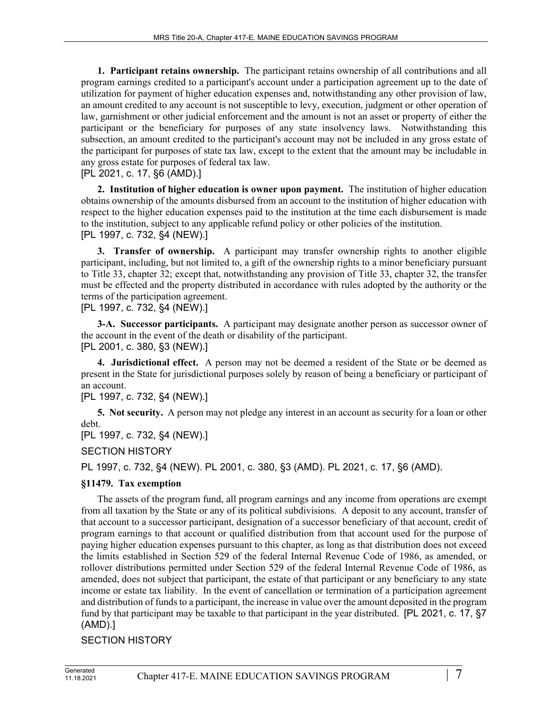**1. Participant retains ownership.** The participant retains ownership of all contributions and all program earnings credited to a participant's account under a participation agreement up to the date of utilization for payment of higher education expenses and, notwithstanding any other provision of law, an amount credited to any account is not susceptible to levy, execution, judgment or other operation of law, garnishment or other judicial enforcement and the amount is not an asset or property of either the participant or the beneficiary for purposes of any state insolvency laws. Notwithstanding this subsection, an amount credited to the participant's account may not be included in any gross estate of the participant for purposes of state tax law, except to the extent that the amount may be includable in any gross estate for purposes of federal tax law.

[PL 2021, c. 17, §6 (AMD).]

**2. Institution of higher education is owner upon payment.** The institution of higher education obtains ownership of the amounts disbursed from an account to the institution of higher education with respect to the higher education expenses paid to the institution at the time each disbursement is made to the institution, subject to any applicable refund policy or other policies of the institution. [PL 1997, c. 732, §4 (NEW).]

**3. Transfer of ownership.** A participant may transfer ownership rights to another eligible participant, including, but not limited to, a gift of the ownership rights to a minor beneficiary pursuant to Title 33, chapter 32; except that, notwithstanding any provision of Title 33, chapter 32, the transfer must be effected and the property distributed in accordance with rules adopted by the authority or the terms of the participation agreement.

[PL 1997, c. 732, §4 (NEW).]

**3-A. Successor participants.** A participant may designate another person as successor owner of the account in the event of the death or disability of the participant. [PL 2001, c. 380, §3 (NEW).]

**4. Jurisdictional effect.** A person may not be deemed a resident of the State or be deemed as present in the State for jurisdictional purposes solely by reason of being a beneficiary or participant of an account.

[PL 1997, c. 732, §4 (NEW).]

**5. Not security.** A person may not pledge any interest in an account as security for a loan or other debt.

[PL 1997, c. 732, §4 (NEW).]

SECTION HISTORY

PL 1997, c. 732, §4 (NEW). PL 2001, c. 380, §3 (AMD). PL 2021, c. 17, §6 (AMD).

# **§11479. Tax exemption**

The assets of the program fund, all program earnings and any income from operations are exempt from all taxation by the State or any of its political subdivisions. A deposit to any account, transfer of that account to a successor participant, designation of a successor beneficiary of that account, credit of program earnings to that account or qualified distribution from that account used for the purpose of paying higher education expenses pursuant to this chapter, as long as that distribution does not exceed the limits established in Section 529 of the federal Internal Revenue Code of 1986, as amended, or rollover distributions permitted under Section 529 of the federal Internal Revenue Code of 1986, as amended, does not subject that participant, the estate of that participant or any beneficiary to any state income or estate tax liability. In the event of cancellation or termination of a participation agreement and distribution of funds to a participant, the increase in value over the amount deposited in the program fund by that participant may be taxable to that participant in the year distributed. [PL 2021, c. 17, §7 (AMD).]

## SECTION HISTORY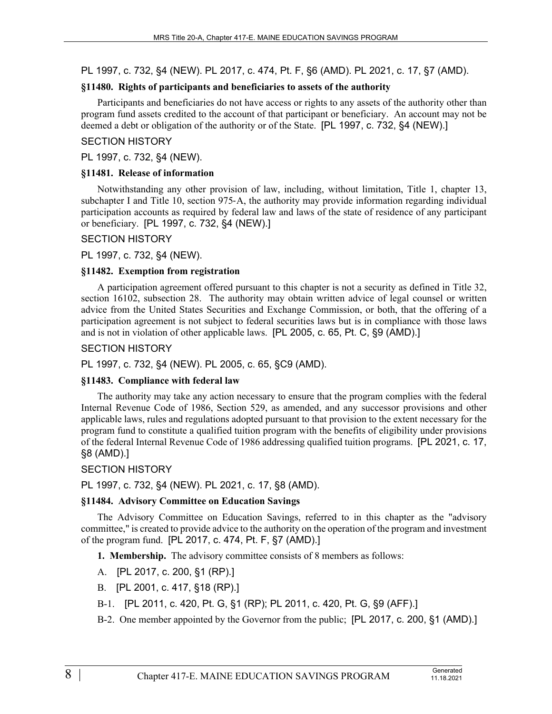PL 1997, c. 732, §4 (NEW). PL 2017, c. 474, Pt. F, §6 (AMD). PL 2021, c. 17, §7 (AMD).

#### **§11480. Rights of participants and beneficiaries to assets of the authority**

Participants and beneficiaries do not have access or rights to any assets of the authority other than program fund assets credited to the account of that participant or beneficiary. An account may not be deemed a debt or obligation of the authority or of the State. [PL 1997, c. 732, §4 (NEW).]

### SECTION HISTORY

#### PL 1997, c. 732, §4 (NEW).

### **§11481. Release of information**

Notwithstanding any other provision of law, including, without limitation, Title 1, chapter 13, subchapter I and Title 10, section 975-A, the authority may provide information regarding individual participation accounts as required by federal law and laws of the state of residence of any participant or beneficiary. [PL 1997, c. 732, §4 (NEW).]

### SECTION HISTORY

PL 1997, c. 732, §4 (NEW).

### **§11482. Exemption from registration**

A participation agreement offered pursuant to this chapter is not a security as defined in Title 32, section 16102, subsection 28. The authority may obtain written advice of legal counsel or written advice from the United States Securities and Exchange Commission, or both, that the offering of a participation agreement is not subject to federal securities laws but is in compliance with those laws and is not in violation of other applicable laws. [PL 2005, c. 65, Pt. C, §9 (AMD).]

### SECTION HISTORY

PL 1997, c. 732, §4 (NEW). PL 2005, c. 65, §C9 (AMD).

#### **§11483. Compliance with federal law**

The authority may take any action necessary to ensure that the program complies with the federal Internal Revenue Code of 1986, Section 529, as amended, and any successor provisions and other applicable laws, rules and regulations adopted pursuant to that provision to the extent necessary for the program fund to constitute a qualified tuition program with the benefits of eligibility under provisions of the federal Internal Revenue Code of 1986 addressing qualified tuition programs. [PL 2021, c. 17, §8 (AMD).]

## SECTION HISTORY

PL 1997, c. 732, §4 (NEW). PL 2021, c. 17, §8 (AMD).

## **§11484. Advisory Committee on Education Savings**

The Advisory Committee on Education Savings, referred to in this chapter as the "advisory committee," is created to provide advice to the authority on the operation of the program and investment of the program fund. [PL 2017, c. 474, Pt. F, §7 (AMD).]

**1. Membership.** The advisory committee consists of 8 members as follows:

- A. [PL 2017, c. 200, §1 (RP).]
- B. [PL 2001, c. 417, §18 (RP).]
- B-1. [PL 2011, c. 420, Pt. G, §1 (RP); PL 2011, c. 420, Pt. G, §9 (AFF).]
- B-2. One member appointed by the Governor from the public; [PL 2017, c. 200, §1 (AMD).]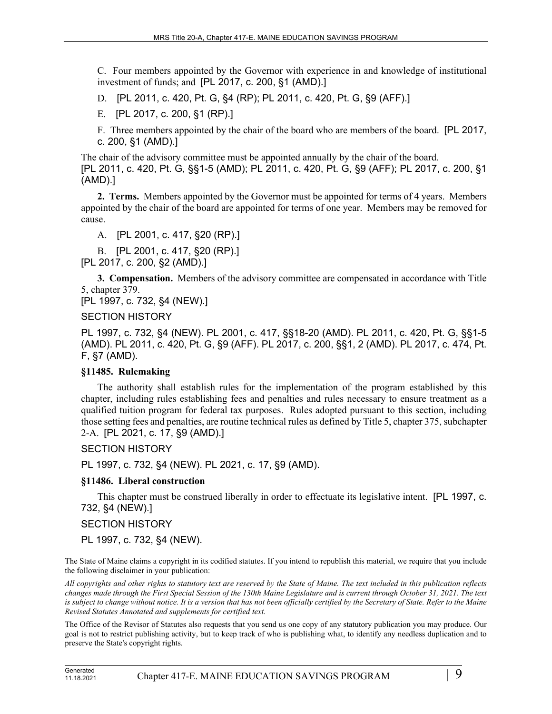C. Four members appointed by the Governor with experience in and knowledge of institutional investment of funds; and [PL 2017, c. 200, §1 (AMD).]

D. [PL 2011, c. 420, Pt. G, §4 (RP); PL 2011, c. 420, Pt. G, §9 (AFF).]

E. [PL 2017, c. 200, §1 (RP).]

F. Three members appointed by the chair of the board who are members of the board. [PL 2017, c. 200, §1 (AMD).]

The chair of the advisory committee must be appointed annually by the chair of the board. [PL 2011, c. 420, Pt. G, §§1-5 (AMD); PL 2011, c. 420, Pt. G, §9 (AFF); PL 2017, c. 200, §1 (AMD).]

**2. Terms.** Members appointed by the Governor must be appointed for terms of 4 years. Members appointed by the chair of the board are appointed for terms of one year. Members may be removed for cause.

A. [PL 2001, c. 417, §20 (RP).]

B. [PL 2001, c. 417, §20 (RP).] [PL 2017, c. 200, §2 (AMD).]

**3. Compensation.** Members of the advisory committee are compensated in accordance with Title 5, chapter 379.

[PL 1997, c. 732, §4 (NEW).]

SECTION HISTORY

PL 1997, c. 732, §4 (NEW). PL 2001, c. 417, §§18-20 (AMD). PL 2011, c. 420, Pt. G, §§1-5 (AMD). PL 2011, c. 420, Pt. G, §9 (AFF). PL 2017, c. 200, §§1, 2 (AMD). PL 2017, c. 474, Pt. F, §7 (AMD).

## **§11485. Rulemaking**

The authority shall establish rules for the implementation of the program established by this chapter, including rules establishing fees and penalties and rules necessary to ensure treatment as a qualified tuition program for federal tax purposes. Rules adopted pursuant to this section, including those setting fees and penalties, are routine technical rules as defined by Title 5, chapter 375, subchapter 2-A. [PL 2021, c. 17, §9 (AMD).]

SECTION HISTORY

PL 1997, c. 732, §4 (NEW). PL 2021, c. 17, §9 (AMD).

#### **§11486. Liberal construction**

This chapter must be construed liberally in order to effectuate its legislative intent. [PL 1997, c. 732, §4 (NEW).]

#### SECTION HISTORY

PL 1997, c. 732, §4 (NEW).

The State of Maine claims a copyright in its codified statutes. If you intend to republish this material, we require that you include the following disclaimer in your publication:

*All copyrights and other rights to statutory text are reserved by the State of Maine. The text included in this publication reflects changes made through the First Special Session of the 130th Maine Legislature and is current through October 31, 2021. The text*  is subject to change without notice. It is a version that has not been officially certified by the Secretary of State. Refer to the Maine *Revised Statutes Annotated and supplements for certified text.*

The Office of the Revisor of Statutes also requests that you send us one copy of any statutory publication you may produce. Our goal is not to restrict publishing activity, but to keep track of who is publishing what, to identify any needless duplication and to preserve the State's copyright rights.